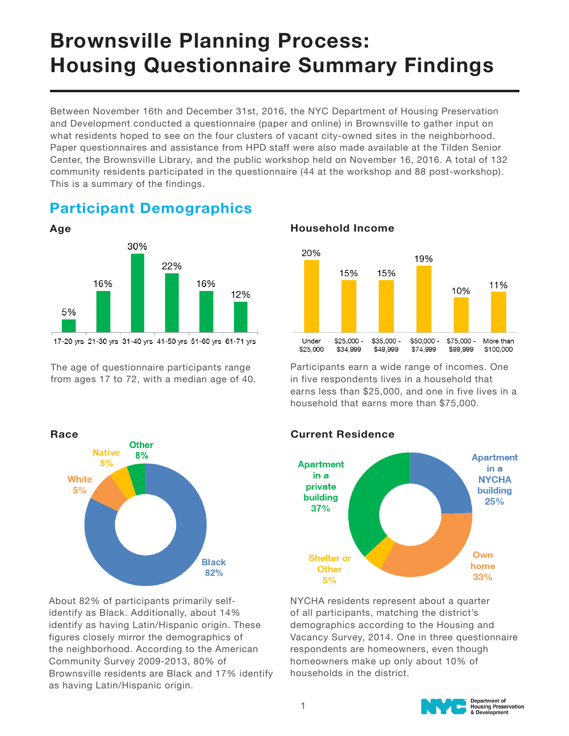# Brownsville Planning Process: Housing Questionnaire Summary Findings

Between November 16th and December 31st, 2016, the NYC Department of Housing Preservation and Development conducted a questionnaire (paper and online) in Brownsville to gather input on what residents hoped to see on the four clusters of vacant city-owned sites in the neighborhood. Paper questionnaires and assistance from HPD staff were also made available at the Tilden Senior Center, the Brownsville Library, and the public workshop held on November 16, 2016. A total of 132 community residents participated in the questionnaire (44 at the workshop and 88 post-workshop). This is a summary of the findings.

# Participant Demographics



17-20 yrs 21-30 yrs 31-40 yrs 41-50 yrs 51-60 yrs 61-71 yrs

The age of questionnaire participants range from ages 17 to 72, with a median age of 40.



Participants earn a wide range of incomes. One in five respondents lives in a household that earns less than \$25,000, and one in five lives in a household that earns more than \$75,000.



About 82% of participants primarily selfidentify as Black. Additionally, about 14% identify as having Latin/Hispanic origin. These figures closely mirror the demographics of the neighborhood. According to the American Community Survey 2009-2013, 80% of Brownsville residents are Black and 17% identify as having Latin/Hispanic origin.

### Current Residence



NYCHA residents represent about a quarter of all participants, matching the district's demographics according to the Housing and Vacancy Survey, 2014. One in three questionnaire respondents are homeowners, even though homeowners make up only about 10% of households in the district.

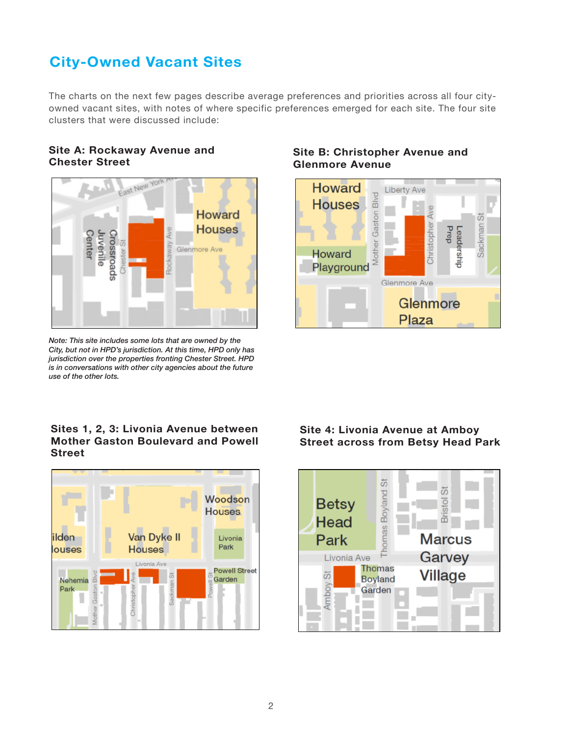# City-Owned Vacant Sites

The charts on the next few pages describe average preferences and priorities across all four cityowned vacant sites, with notes of where specific preferences emerged for each site. The four site clusters that were discussed include:

#### Site A: Rockaway Avenue and Chester Street



Note: This site includes some lots that are owned by the City, but not in HPD's jurisdiction. At this time, HPD only has jurisdiction over the properties fronting Chester Street. HPD is in conversations with other city agencies about the future use of the other lots.

#### Sites 1, 2, 3: Livonia Avenue between Mother Gaston Boulevard and Powell Street



#### Site B: Christopher Avenue and Glenmore Avenue



#### Site 4: Livonia Avenue at Amboy Street across from Betsy Head Park

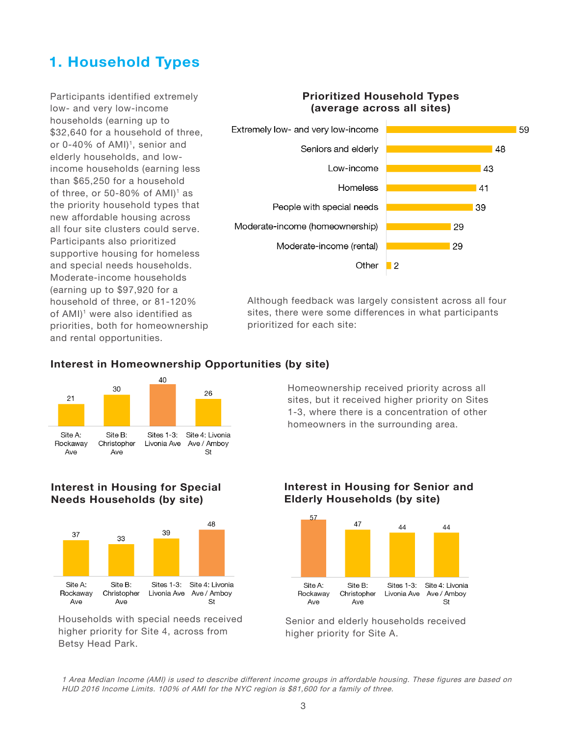# 1. Household Types

Participants identified extremely low- and very low-income households (earning up to \$32,640 for a household of three. or 0-40% of AMI)<sup>1</sup>, senior and elderly households, and lowincome households (earning less than \$65,250 for a household of three, or 50-80% of  $AMI$ <sup>1</sup> as the priority household types that new affordable housing across all four site clusters could serve. Participants also prioritized supportive housing for homeless and special needs households. Moderate-income households (earning up to \$97,920 for a household of three, or 81-120% of AMI)<sup>1</sup> were also identified as priorities, both for homeownership and rental opportunities.

#### Prioritized Household Types (average across all sites) Extremely low- and very low-income 59 Seniors and elderly  $|48$ Low-income  $\overline{A}$ **Homeless**  $\Lambda$ 1 People with special needs  $39$ Moderate-income (homeownership) 29 Moderate-income (rental)  $\overline{29}$ Other

Although feedback was largely consistent across all four sites, there were some differences in what participants prioritized for each site:

 $\blacksquare$ 





Homeownership received priority across all sites, but it received higher priority on Sites 1-3, where there is a concentration of other homeowners in the surrounding area.

#### Interest in Housing for Special Needs Households (by site)



Households with special needs received higher priority for Site 4, across from Betsy Head Park.

### Interest in Housing for Senior and Elderly Households (by site)



Senior and elderly households received higher priority for Site A.

1 Area Median Income (AMI) is used to describe different income groups in affordable housing. These figures are based on HUD 2016 Income Limits. 100% of AMI for the NYC region is \$81,600 for a family of three.

### Interest in Homeownership Opportunities (by site)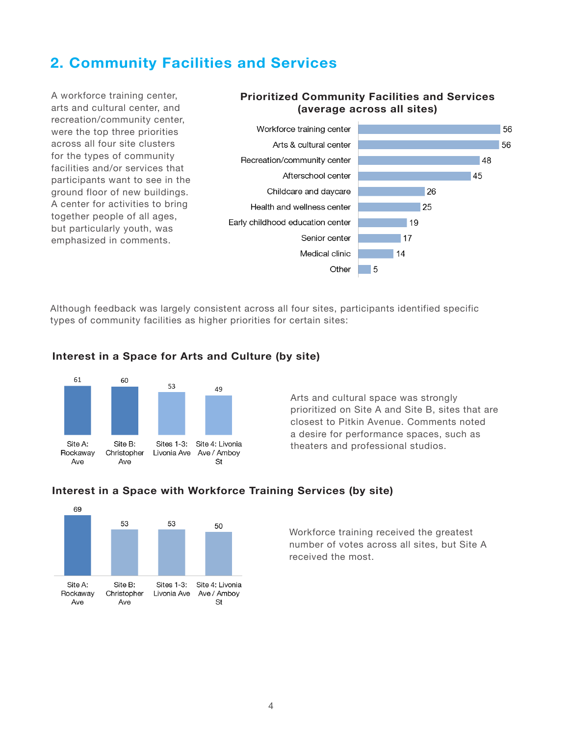## 2. Community Facilities and Services

A workforce training center, arts and cultural center, and recreation/community center, were the top three priorities across all four site clusters for the types of community facilities and/or services that participants want to see in the ground floor of new buildings. A center for activities to bring together people of all ages, but particularly youth, was emphasized in comments.

#### Prioritized Community Facilities and Services (average across all sites)



Although feedback was largely consistent across all four sites, participants identified specific types of community facilities as higher priorities for certain sites:



#### Interest in a Space for Arts and Culture (by site)

Arts and cultural space was strongly prioritized on Site A and Site B, sites that are closest to Pitkin Avenue. Comments noted a desire for performance spaces, such as theaters and professional studios.



#### Interest in a Space with Workforce Training Services (by site)

Workforce training received the greatest number of votes across all sites, but Site A received the most.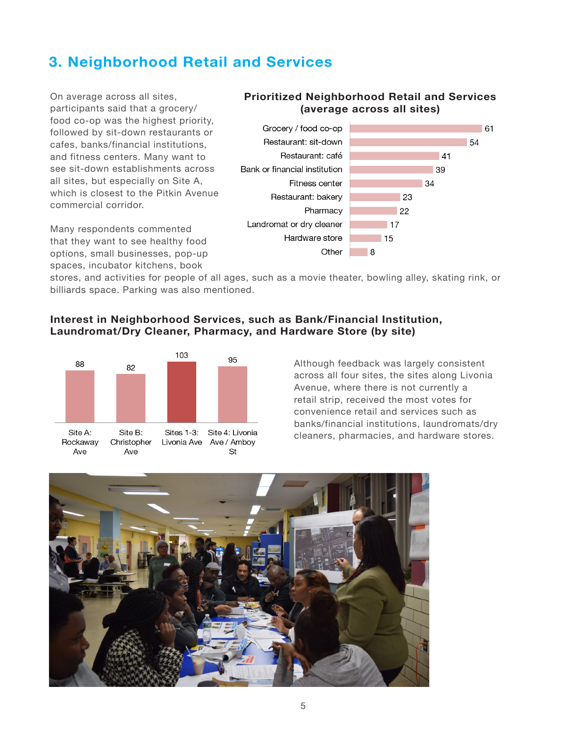# 3. Neighborhood Retail and Services

On average across all sites, participants said that a grocery/ food co-op was the highest priority, followed by sit-down restaurants or cafes, banks/financial institutions, and fitness centers. Many want to see sit-down establishments across all sites, but especially on Site A, which is closest to the Pitkin Avenue commercial corridor.

Many respondents commented that they want to see healthy food options, small businesses, pop-up spaces, incubator kitchens, book

#### Prioritized Neighborhood Retail and Services (average across all sites)



stores, and activities for people of all ages, such as a movie theater, bowling alley, skating rink, or billiards space. Parking was also mentioned.

#### Interest in Neighborhood Services, such as Bank/Financial Institution, Laundromat/Dry Cleaner, Pharmacy, and Hardware Store (by site)



Although feedback was largely consistent across all four sites, the sites along Livonia Avenue, where there is not currently a retail strip, received the most votes for convenience retail and services such as banks/financial institutions, laundromats/dry cleaners, pharmacies, and hardware stores.